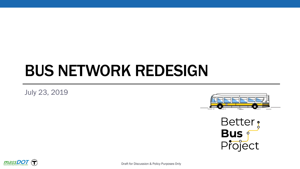# BUS NETWORK REDESIGN

July 23, 2019







Draft for Discussion & Policy Purposes Only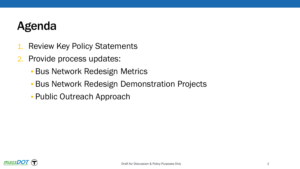### Agenda

- 1. Review Key Policy Statements
- 2. Provide process updates:
	- Bus Network Redesign Metrics
	- Bus Network Redesign Demonstration Projects
	- Public Outreach Approach

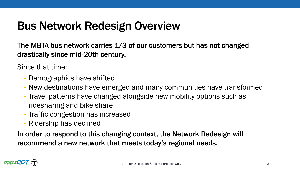### Bus Network Redesign Overview

The MBTA bus network carries 1/3 of our customers but has not changed drastically since mid-20th century.

Since that time:

- Demographics have shifted
- New destinations have emerged and many communities have transformed
- Travel patterns have changed alongside new mobility options such as ridesharing and bike share
- Traffic congestion has increased
- Ridership has declined

In order to respond to this changing context, the Network Redesign will recommend a new network that meets today's regional needs.

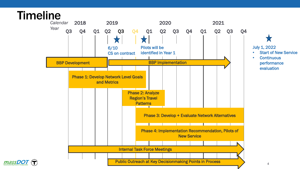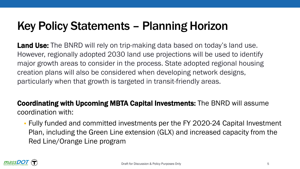### Key Policy Statements – Planning Horizon

Land Use: The BNRD will rely on trip-making data based on today's land use. However, regionally adopted 2030 land use projections will be used to identify major growth areas to consider in the process. State adopted regional housing creation plans will also be considered when developing network designs, particularly when that growth is targeted in transit-friendly areas.

Coordinating with Upcoming MBTA Capital Investments: The BNRD will assume coordination with:

• Fully funded and committed investments per the FY 2020-24 Capital Investment Plan, including the Green Line extension (GLX) and increased capacity from the Red Line/Orange Line program

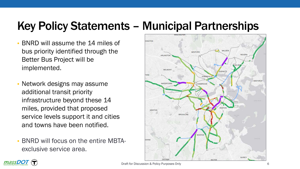# Key Policy Statements – Municipal Partnerships

- BNRD will assume the 14 miles of bus priority identified through the Better Bus Project will be implemented.
- Network designs may assume additional transit priority infrastructure beyond these 14 miles, provided that proposed service levels support it and cities and towns have been notified.
- BNRD will focus on the entire MBTAexclusive service area.





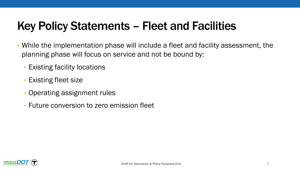# Key Policy Statements – Fleet and Facilities

- While the implementation phase will include a fleet and facility assessment, the planning phase will focus on service and not be bound by:
	- Existing facility locations
	- Existing fleet size
	- Operating assignment rules
	- Future conversion to zero emission fleet

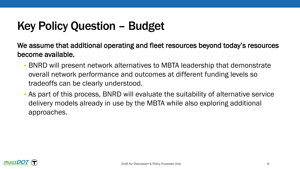# Key Policy Question – Budget

We assume that additional operating and fleet resources beyond today's resources become available.

- BNRD will present network alternatives to MBTA leadership that demonstrate overall network performance and outcomes at different funding levels so tradeoffs can be clearly understood.
- As part of this process, BNRD will evaluate the suitability of alternative service delivery models already in use by the MBTA while also exploring additional approaches.

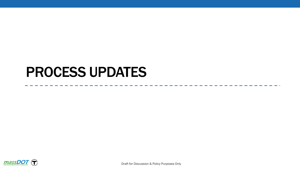# PROCESS UPDATES



Draft for Discussion & Policy Purposes Only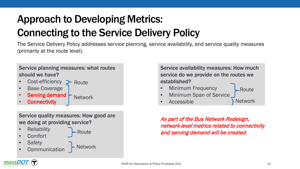# Approach to Developing Metrics: Connecting to the Service Delivery Policy

The Service Delivery Policy addresses service planning, service availability, and service quality measures (primarily at the route level).

Service planning measures: what routes should we have?

- Cost-efficiency **P** Route
- Base Coverage
- Serving demand **Connectivity Network**

Service quality measures: How good are we doing at providing service?

- **Reliability**
- Comfort
- **Safety**
- **Communication**

**Network** 

Route

Service availability measures: How much service do we provide on the routes we established?

- Minimum Frequency
	- Route
- Minimum Span of Service
- Accessible

Network

As part of the Bus Network Redesign, network-level metrics related to connectivity and serving demand will be created.

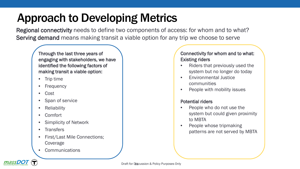# Approach to Developing Metrics

Regional connectivity needs to define two components of access: for whom and to what? Serving demand means making transit a viable option for any trip we choose to serve

Through the last three years of engaging with stakeholders, we have identified the following factors of making transit a viable option:

- Trip time
- **Frequency**
- Cost
- Span of service
- **Reliability**
- Comfort
- **Simplicity of Network**
- **Transfers**
- First/Last Mile Connections; Coverage
- **Communications**

#### Connectivity for whom and to what: Existing riders

- Riders that previously used the system but no longer do today
- Environmental Justice communities
- People with mobility issues

#### Potential riders

- People who do not use the system but could given proximity to MBTA
- People whose tripmaking patterns are not served by MBTA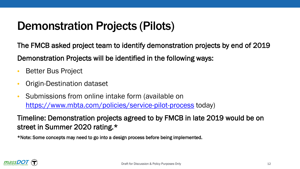### Demonstration Projects (Pilots)

The FMCB asked project team to identify demonstration projects by end of 2019

Demonstration Projects will be identified in the following ways:

- Better Bus Project
- Origin-Destination dataset
- Submissions from online intake form (available on <https://www.mbta.com/policies/service-pilot-process> today)

Timeline: Demonstration projects agreed to by FMCB in late 2019 would be on street in Summer 2020 rating.\*

\*Note: Some concepts may need to go into a design process before being implemented.

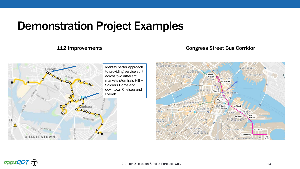### Demonstration Project Examples

#### 112 Improvements



#### Congress Street Bus Corridor



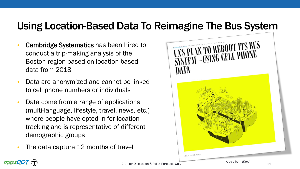### Using Location-Based Data To Reimagine The Bus System

- Cambridge Systematics has been hired to conduct a trip-making analysis of the Boston region based on location-based data from 2018
- Data are anonymized and cannot be linked to cell phone numbers or individuals
- Data come from a range of applications (multi-language, lifestyle, travel, news, etc.) where people have opted in for locationtracking and is representative of different demographic groups
- The data capture 12 months of travel



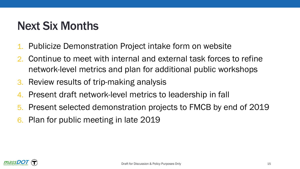### Next Six Months

- 1. Publicize Demonstration Project intake form on website
- 2. Continue to meet with internal and external task forces to refine network-level metrics and plan for additional public workshops
- 3. Review results of trip-making analysis
- 4. Present draft network-level metrics to leadership in fall
- 5. Present selected demonstration projects to FMCB by end of 2019
- 6. Plan for public meeting in late 2019